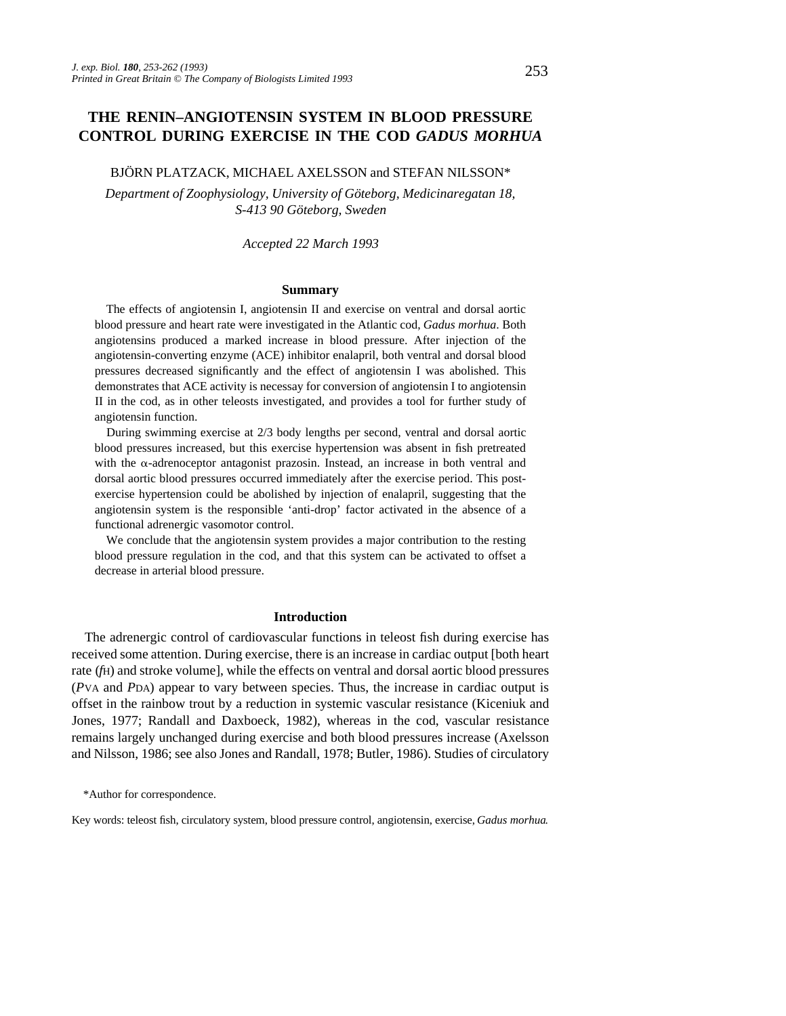# **THE RENIN–ANGIOTENSIN SYSTEM IN BLOOD PRESSURE CONTROL DURING EXERCISE IN THE COD** *GADUS MORHUA*

### BJÖRN PLATZACK, MICHAEL AXELSSON and STEFAN NILSSON\*

*Department of Zoophysiology, University of Göteborg, Medicinaregatan 18, S-413 90 Göteborg, Sweden*

*Accepted 22 March 1993*

### **Summary**

The effects of angiotensin I, angiotensin II and exercise on ventral and dorsal aortic blood pressure and heart rate were investigated in the Atlantic cod, *Gadus morhua*. Both angiotensins produced a marked increase in blood pressure. After injection of the angiotensin-converting enzyme (ACE) inhibitor enalapril, both ventral and dorsal blood pressures decreased significantly and the effect of angiotensin I was abolished. This demonstrates that ACE activity is necessay for conversion of angiotensin I to angiotensin II in the cod, as in other teleosts investigated, and provides a tool for further study of angiotensin function.

During swimming exercise at 2/3 body lengths per second, ventral and dorsal aortic blood pressures increased, but this exercise hypertension was absent in fish pretreated with the  $\alpha$ -adrenoceptor antagonist prazosin. Instead, an increase in both ventral and dorsal aortic blood pressures occurred immediately after the exercise period. This postexercise hypertension could be abolished by injection of enalapril, suggesting that the angiotensin system is the responsible 'anti-drop' factor activated in the absence of a functional adrenergic vasomotor control.

We conclude that the angiotensin system provides a major contribution to the resting blood pressure regulation in the cod, and that this system can be activated to offset a decrease in arterial blood pressure.

### **Introduction**

The adrenergic control of cardiovascular functions in teleost fish during exercise has received some attention. During exercise, there is an increase in cardiac output [both heart rate (*f*H) and stroke volume], while the effects on ventral and dorsal aortic blood pressures (*P*VA and *P*DA) appear to vary between species. Thus, the increase in cardiac output is offset in the rainbow trout by a reduction in systemic vascular resistance (Kiceniuk and Jones, 1977; Randall and Daxboeck, 1982), whereas in the cod, vascular resistance remains largely unchanged during exercise and both blood pressures increase (Axelsson and Nilsson, 1986; see also Jones and Randall, 1978; Butler, 1986). Studies of circulatory

Key words: teleost fish, circulatory system, blood pressure control, angiotensin, exercise, *Gadus morhua*.

<sup>\*</sup>Author for correspondence.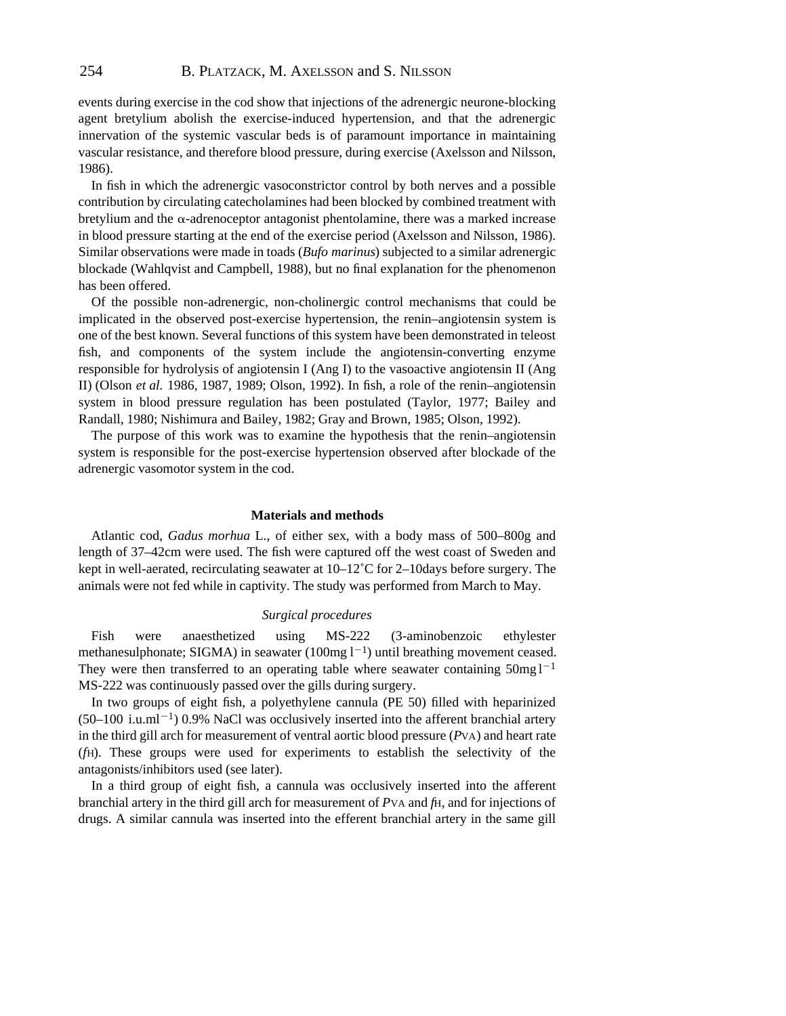events during exercise in the cod show that injections of the adrenergic neurone-blocking agent bretylium abolish the exercise-induced hypertension, and that the adrenergic innervation of the systemic vascular beds is of paramount importance in maintaining vascular resistance, and therefore blood pressure, during exercise (Axelsson and Nilsson, 1986).

In fish in which the adrenergic vasoconstrictor control by both nerves and a possible contribution by circulating catecholamines had been blocked by combined treatment with bretylium and the  $\alpha$ -adrenoceptor antagonist phentolamine, there was a marked increase in blood pressure starting at the end of the exercise period (Axelsson and Nilsson, 1986). Similar observations were made in toads (*Bufo marinus*) subjected to a similar adrenergic blockade (Wahlqvist and Campbell, 1988), but no final explanation for the phenomenon has been offered.

Of the possible non-adrenergic, non-cholinergic control mechanisms that could be implicated in the observed post-exercise hypertension, the renin–angiotensin system is one of the best known. Several functions of this system have been demonstrated in teleost fish, and components of the system include the angiotensin-converting enzyme responsible for hydrolysis of angiotensin I (Ang I) to the vasoactive angiotensin II (Ang II) (Olson *et al.* 1986, 1987, 1989; Olson, 1992). In fish, a role of the renin–angiotensin system in blood pressure regulation has been postulated (Taylor, 1977; Bailey and Randall, 1980; Nishimura and Bailey, 1982; Gray and Brown, 1985; Olson, 1992).

The purpose of this work was to examine the hypothesis that the renin–angiotensin system is responsible for the post-exercise hypertension observed after blockade of the adrenergic vasomotor system in the cod.

## **Materials and methods**

Atlantic cod, *Gadus morhua* L., of either sex, with a body mass of 500–800g and length of 37–42cm were used. The fish were captured off the west coast of Sweden and kept in well-aerated, recirculating seawater at  $10-12^{\circ}$ C for 2–10days before surgery. The animals were not fed while in captivity. The study was performed from March to May.

#### *Surgical procedures*

Fish were anaesthetized using MS-222 (3-aminobenzoic ethylester methanesulphonate; SIGMA) in seawater  $(100mg 1^{-1})$  until breathing movement ceased. They were then transferred to an operating table where seawater containing  $50mg1^{-1}$ MS-222 was continuously passed over the gills during surgery.

In two groups of eight fish, a polyethylene cannula (PE 50) filled with heparinized  $(50-100$  i.u.ml<sup>-1</sup>) 0.9% NaCl was occlusively inserted into the afferent branchial artery in the third gill arch for measurement of ventral aortic blood pressure (*P*VA) and heart rate (*f*H). These groups were used for experiments to establish the selectivity of the antagonists/inhibitors used (see later).

In a third group of eight fish, a cannula was occlusively inserted into the afferent branchial artery in the third gill arch for measurement of *P*VA and *f*H, and for injections of drugs. A similar cannula was inserted into the efferent branchial artery in the same gill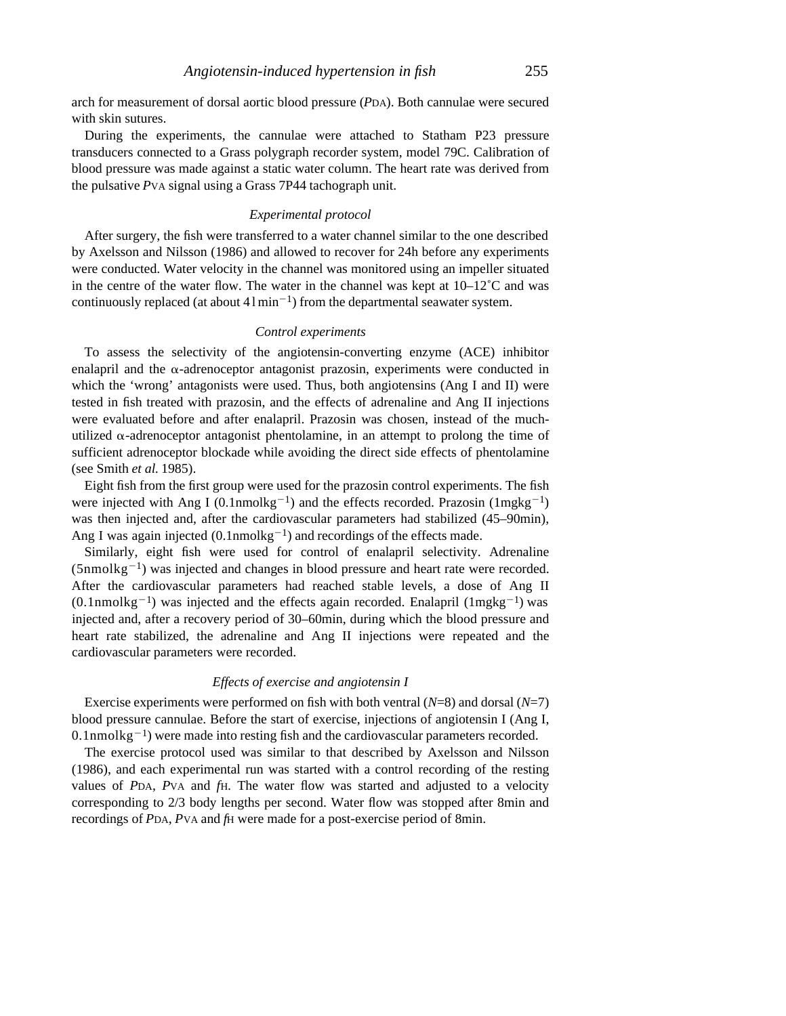arch for measurement of dorsal aortic blood pressure (*P*DA). Both cannulae were secured with skin sutures.

During the experiments, the cannulae were attached to Statham P23 pressure transducers connected to a Grass polygraph recorder system, model 79C. Calibration of blood pressure was made against a static water column. The heart rate was derived from the pulsative *P*VA signal using a Grass 7P44 tachograph unit.

### *Experimental protocol*

After surgery, the fish were transferred to a water channel similar to the one described by Axelsson and Nilsson (1986) and allowed to recover for 24h before any experiments were conducted. Water velocity in the channel was monitored using an impeller situated in the centre of the water flow. The water in the channel was kept at  $10-12^{\circ}$ C and was continuously replaced (at about  $41 \text{min}^{-1}$ ) from the departmental seawater system.

## *Control experiments*

To assess the selectivity of the angiotensin-converting enzyme (ACE) inhibitor enalapril and the  $\alpha$ -adrenoceptor antagonist prazosin, experiments were conducted in which the 'wrong' antagonists were used. Thus, both angiotensins (Ang I and II) were tested in fish treated with prazosin, and the effects of adrenaline and Ang II injections were evaluated before and after enalapril. Prazosin was chosen, instead of the muchutilized  $\alpha$ -adrenoceptor antagonist phentolamine, in an attempt to prolong the time of sufficient adrenoceptor blockade while avoiding the direct side effects of phentolamine (see Smith *et al.* 1985).

Eight fish from the first group were used for the prazosin control experiments. The fish were injected with Ang I (0.1nmolkg<sup>-1</sup>) and the effects recorded. Prazosin (1mgkg<sup>-1</sup>) was then injected and, after the cardiovascular parameters had stabilized (45–90min), Ang I was again injected  $(0.1$ nmolkg<sup>-1</sup>) and recordings of the effects made.

Similarly, eight fish were used for control of enalapril selectivity. Adrenaline  $(5nmolkg<sup>-1</sup>)$  was injected and changes in blood pressure and heart rate were recorded. After the cardiovascular parameters had reached stable levels, a dose of Ang II  $(0.1$ nmolkg<sup>-1</sup>) was injected and the effects again recorded. Enalapril  $(1$ mgkg<sup>-1</sup>) was injected and, after a recovery period of 30–60min, during which the blood pressure and heart rate stabilized, the adrenaline and Ang II injections were repeated and the cardiovascular parameters were recorded.

### *Effects of exercise and angiotensin I*

Exercise experiments were performed on fish with both ventral (*N*=8) and dorsal (*N*=7) blood pressure cannulae. Before the start of exercise, injections of angiotensin I (Ang I,  $0.1$ nmol $\text{kg}^{-1}$ ) were made into resting fish and the cardiovascular parameters recorded.

The exercise protocol used was similar to that described by Axelsson and Nilsson (1986), and each experimental run was started with a control recording of the resting values of *P*DA, *P*VA and *f*H. The water flow was started and adjusted to a velocity corresponding to 2/3 body lengths per second. Water flow was stopped after 8min and recordings of *P*DA, *P*VA and *f*H were made for a post-exercise period of 8min.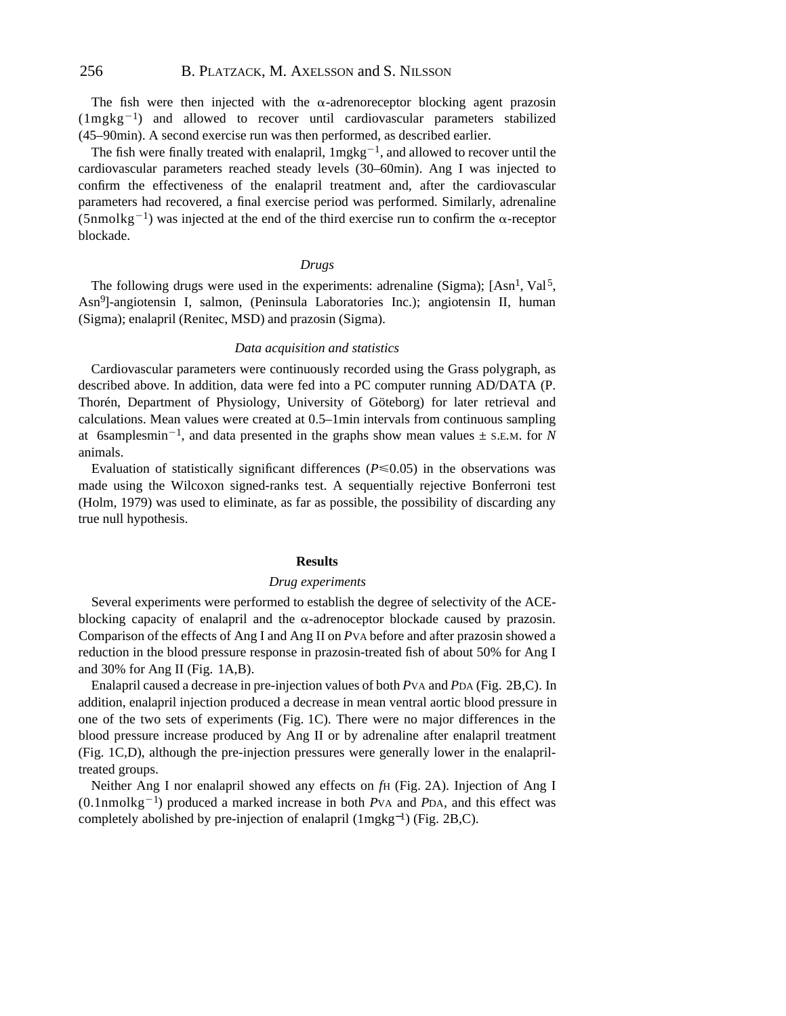The fish were then injected with the  $\alpha$ -adrenoreceptor blocking agent prazosin  $(1 \text{mgkg}^{-1})$  and allowed to recover until cardiovascular parameters stabilized (45–90min). A second exercise run was then performed, as described earlier.

The fish were finally treated with enalapril,  $1$ mgkg<sup>-1</sup>, and allowed to recover until the cardiovascular parameters reached steady levels (30–60min). Ang I was injected to confirm the effectiveness of the enalapril treatment and, after the cardiovascular parameters had recovered, a final exercise period was performed. Similarly, adrenaline (5nmolkg<sup>-1</sup>) was injected at the end of the third exercise run to confirm the  $\alpha$ -receptor blockade.

#### *Drugs*

The following drugs were used in the experiments: adrenaline (Sigma);  $[Asn<sup>1</sup>, Va<sup>15</sup>]$ , Asn<sup>9</sup> ]-angiotensin I, salmon, (Peninsula Laboratories Inc.); angiotensin II, human (Sigma); enalapril (Renitec, MSD) and prazosin (Sigma).

### *Data acquisition and statistics*

Cardiovascular parameters were continuously recorded using the Grass polygraph, as described above. In addition, data were fed into a PC computer running AD/DATA (P. Thorén, Department of Physiology, University of Göteborg) for later retrieval and calculations. Mean values were created at 0.5–1min intervals from continuous sampling at 6samplesmin<sup>-1</sup>, and data presented in the graphs show mean values  $\pm$  s.e.m. for *N* animals.

Evaluation of statistically significant differences ( $P \le 0.05$ ) in the observations was made using the Wilcoxon signed-ranks test. A sequentially rejective Bonferroni test (Holm, 1979) was used to eliminate, as far as possible, the possibility of discarding any true null hypothesis.

#### **Results**

#### *Drug experiments*

Several experiments were performed to establish the degree of selectivity of the ACEblocking capacity of enalapril and the  $\alpha$ -adrenoceptor blockade caused by prazosin. Comparison of the effects of Ang I and Ang II on *P*VA before and after prazosin showed a reduction in the blood pressure response in prazosin-treated fish of about 50% for Ang I and 30% for Ang II (Fig. 1A,B).

Enalapril caused a decrease in pre-injection values of both *P*VA and *P*DA (Fig. 2B,C). In addition, enalapril injection produced a decrease in mean ventral aortic blood pressure in one of the two sets of experiments (Fig. 1C). There were no major differences in the blood pressure increase produced by Ang II or by adrenaline after enalapril treatment (Fig. 1C,D), although the pre-injection pressures were generally lower in the enalapriltreated groups.

Neither Ang I nor enalapril showed any effects on *f*H (Fig. 2A). Injection of Ang I  $(0.1$ nmolkg<sup>-1</sup>) produced a marked increase in both *P*VA and *PDA*, and this effect was completely abolished by pre-injection of enalapril (1mgkg−<sup>1</sup> ) (Fig. 2B,C).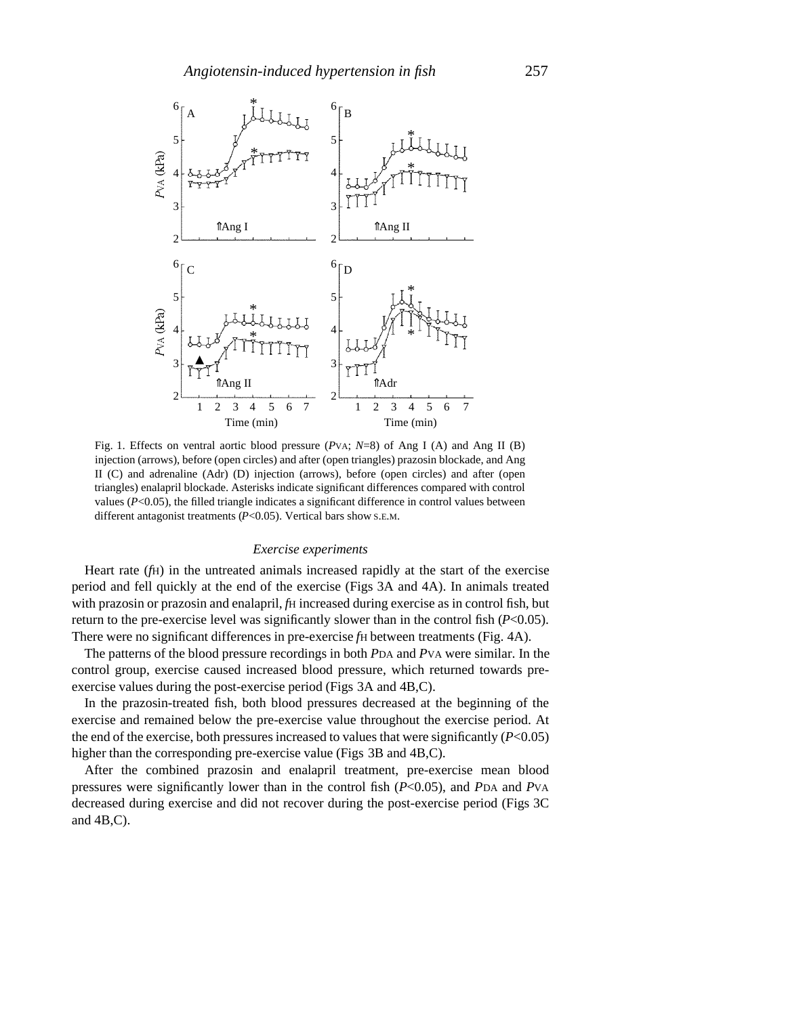

Fig. 1. Effects on ventral aortic blood pressure (*P*VA; *N*=8) of Ang I (A) and Ang II (B) injection (arrows), before (open circles) and after (open triangles) prazosin blockade, and Ang II (C) and adrenaline (Adr) (D) injection (arrows), before (open circles) and after (open triangles) enalapril blockade. Asterisks indicate significant differences compared with control values (*P*<0.05), the filled triangle indicates a significant difference in control values between different antagonist treatments (*P*<0.05). Vertical bars show S.E.M.

#### *Exercise experiments*

Heart rate (*f*H) in the untreated animals increased rapidly at the start of the exercise period and fell quickly at the end of the exercise (Figs 3A and 4A). In animals treated with prazosin or prazosin and enalapril, *fH* increased during exercise as in control fish, but return to the pre-exercise level was significantly slower than in the control fish (*P*<0.05). There were no significant differences in pre-exercise *fH* between treatments (Fig. 4A).

The patterns of the blood pressure recordings in both *P*DA and *P*VA were similar. In the control group, exercise caused increased blood pressure, which returned towards preexercise values during the post-exercise period (Figs 3A and 4B,C).

In the prazosin-treated fish, both blood pressures decreased at the beginning of the exercise and remained below the pre-exercise value throughout the exercise period. At the end of the exercise, both pressures increased to values that were significantly (*P*<0.05) higher than the corresponding pre-exercise value (Figs 3B and 4B,C).

After the combined prazosin and enalapril treatment, pre-exercise mean blood pressures were significantly lower than in the control fish (*P*<0.05), and *P*DA and *P*VA decreased during exercise and did not recover during the post-exercise period (Figs 3C and 4B,C).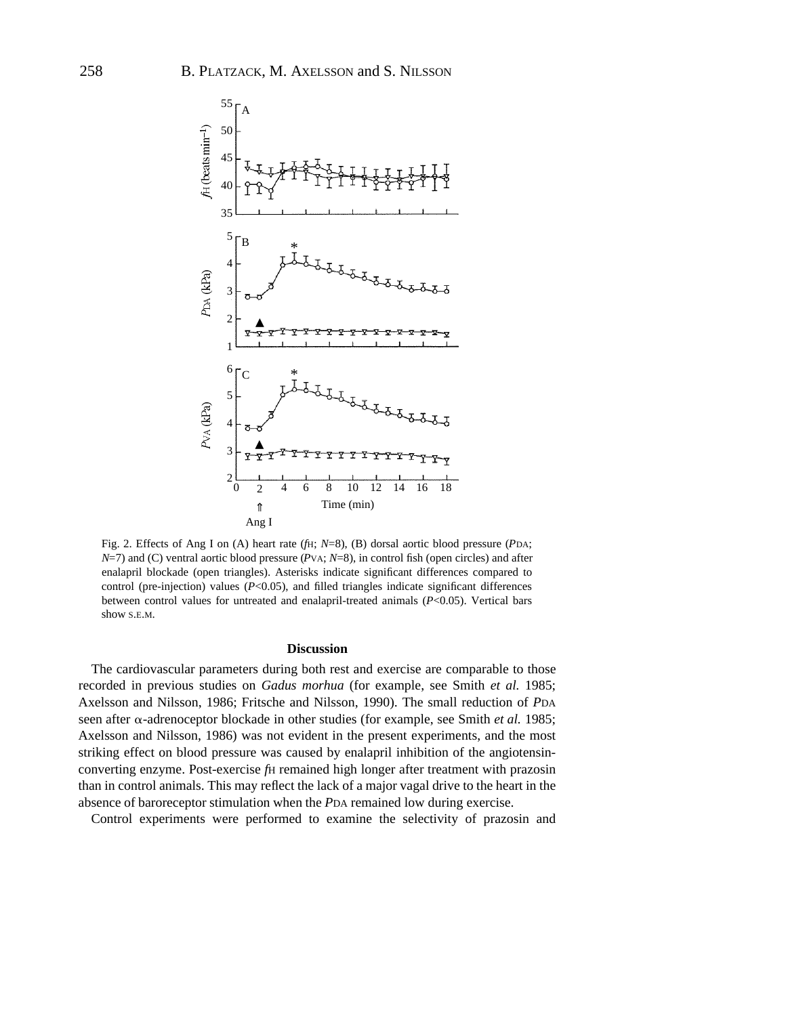

Fig. 2. Effects of Ang I on (A) heart rate (*f*H; *N*=8), (B) dorsal aortic blood pressure (*P*DA; *N*=7) and (C) ventral aortic blood pressure (*P*VA; *N*=8), in control fish (open circles) and after enalapril blockade (open triangles). Asterisks indicate significant differences compared to control (pre-injection) values (*P*<0.05), and filled triangles indicate significant differences between control values for untreated and enalapril-treated animals (*P*<0.05). Vertical bars show S.E.M.

#### **Discussion**

The cardiovascular parameters during both rest and exercise are comparable to those recorded in previous studies on *Gadus morhua* (for example, see Smith *et al.* 1985; Axelsson and Nilsson, 1986; Fritsche and Nilsson, 1990). The small reduction of *P*DA seen after a-adrenoceptor blockade in other studies (for example, see Smith *et al.* 1985; Axelsson and Nilsson, 1986) was not evident in the present experiments, and the most striking effect on blood pressure was caused by enalapril inhibition of the angiotensinconverting enzyme. Post-exercise *f*H remained high longer after treatment with prazosin than in control animals. This may reflect the lack of a major vagal drive to the heart in the absence of baroreceptor stimulation when the *P*DA remained low during exercise.

Control experiments were performed to examine the selectivity of prazosin and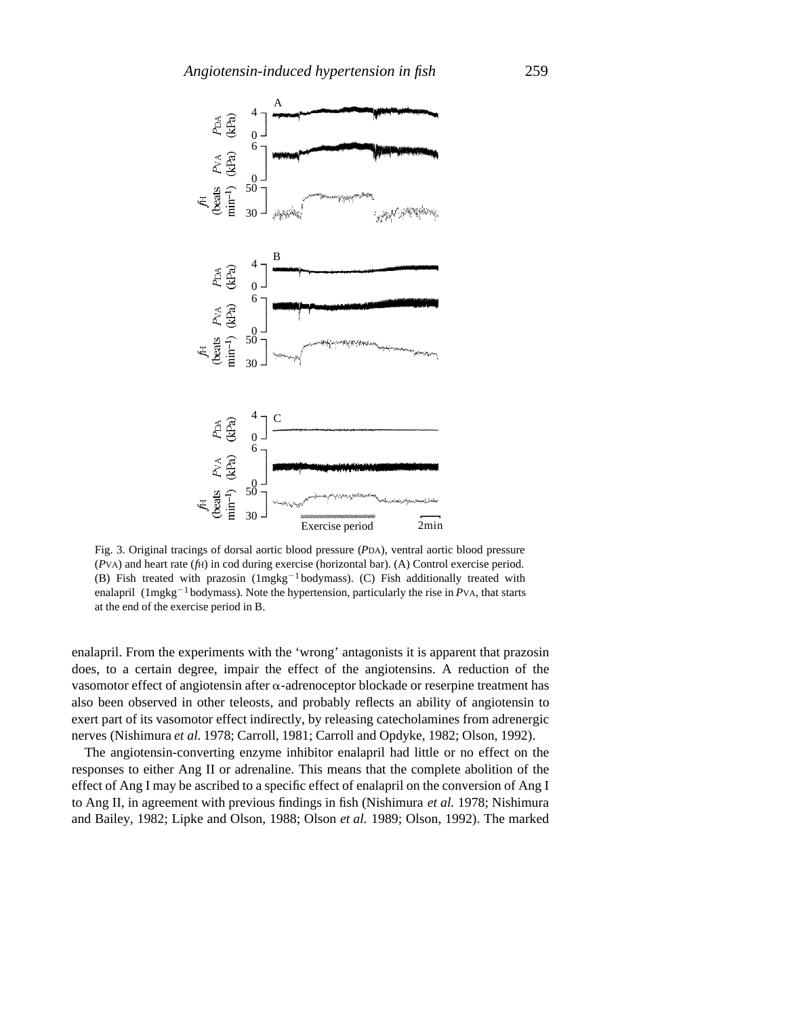

Fig. 3. Original tracings of dorsal aortic blood pressure (*P*DA), ventral aortic blood pressure (*P*VA) and heart rate (*f*H) in cod during exercise (horizontal bar). (A) Control exercise period. (B) Fish treated with prazosin  $(1mgkg^{-1}bodymass)$ . (C) Fish additionally treated with enalapril ( $1$ mgkg<sup>-1</sup> bodymass). Note the hypertension, particularly the rise in *P*VA, that starts at the end of the exercise period in B.

enalapril. From the experiments with the 'wrong' antagonists it is apparent that prazosin does, to a certain degree, impair the effect of the angiotensins. A reduction of the vasomotor effect of angiotensin after  $\alpha$ -adrenoceptor blockade or reserpine treatment has also been observed in other teleosts, and probably reflects an ability of angiotensin to exert part of its vasomotor effect indirectly, by releasing catecholamines from adrenergic nerves (Nishimura *et al.* 1978; Carroll, 1981; Carroll and Opdyke, 1982; Olson, 1992).

The angiotensin-converting enzyme inhibitor enalapril had little or no effect on the responses to either Ang II or adrenaline. This means that the complete abolition of the effect of Ang I may be ascribed to a specific effect of enalapril on the conversion of Ang I to Ang II, in agreement with previous findings in fish (Nishimura *et al.* 1978; Nishimura and Bailey, 1982; Lipke and Olson, 1988; Olson *et al.* 1989; Olson, 1992). The marked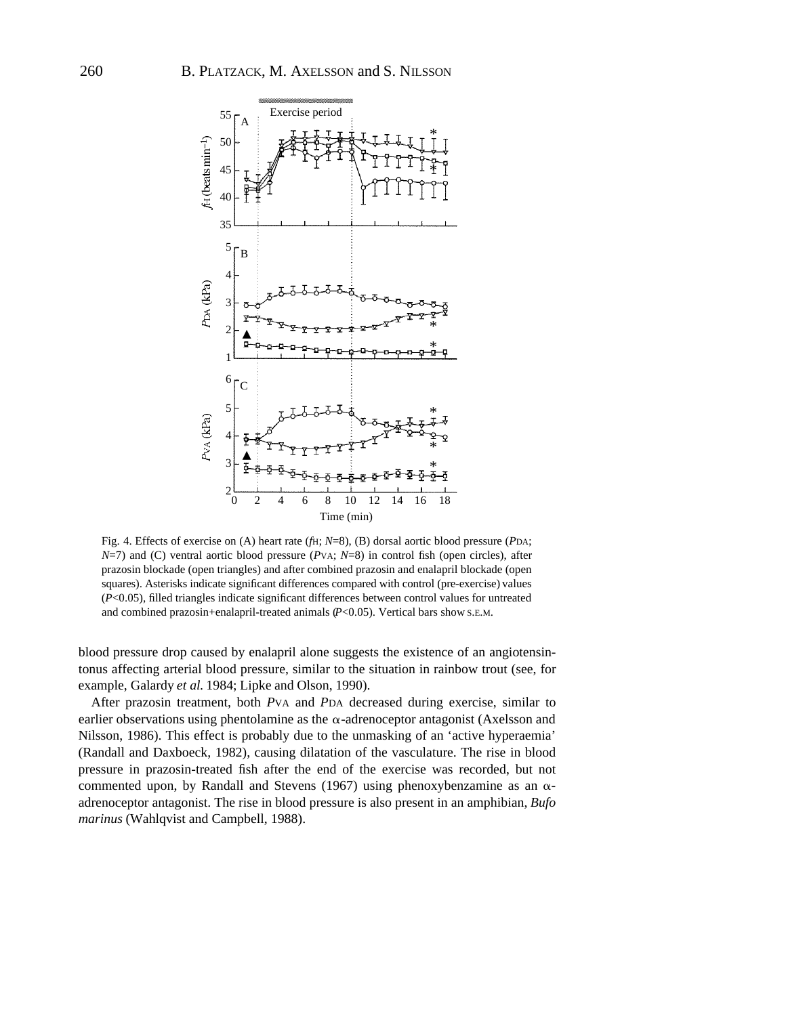

Fig. 4. Effects of exercise on (A) heart rate (*f*H; *N*=8), (B) dorsal aortic blood pressure (*P*DA; *N*=7) and (C) ventral aortic blood pressure (*P*VA; *N*=8) in control fish (open circles), after prazosin blockade (open triangles) and after combined prazosin and enalapril blockade (open squares). Asterisks indicate significant differences compared with control (pre-exercise) values (*P*<0.05), filled triangles indicate significant differences between control values for untreated and combined prazosin+enalapril-treated animals (*P*<0.05). Vertical bars show S.E.M.

blood pressure drop caused by enalapril alone suggests the existence of an angiotensintonus affecting arterial blood pressure, similar to the situation in rainbow trout (see, for example, Galardy *et al.* 1984; Lipke and Olson, 1990).

After prazosin treatment, both *P*VA and *P*DA decreased during exercise, similar to earlier observations using phentolamine as the  $\alpha$ -adrenoceptor antagonist (Axelsson and Nilsson, 1986). This effect is probably due to the unmasking of an 'active hyperaemia' (Randall and Daxboeck, 1982), causing dilatation of the vasculature. The rise in blood pressure in prazosin-treated fish after the end of the exercise was recorded, but not commented upon, by Randall and Stevens (1967) using phenoxybenzamine as an  $\alpha$ adrenoceptor antagonist. The rise in blood pressure is also present in an amphibian, *Bufo marinus* (Wahlqvist and Campbell, 1988).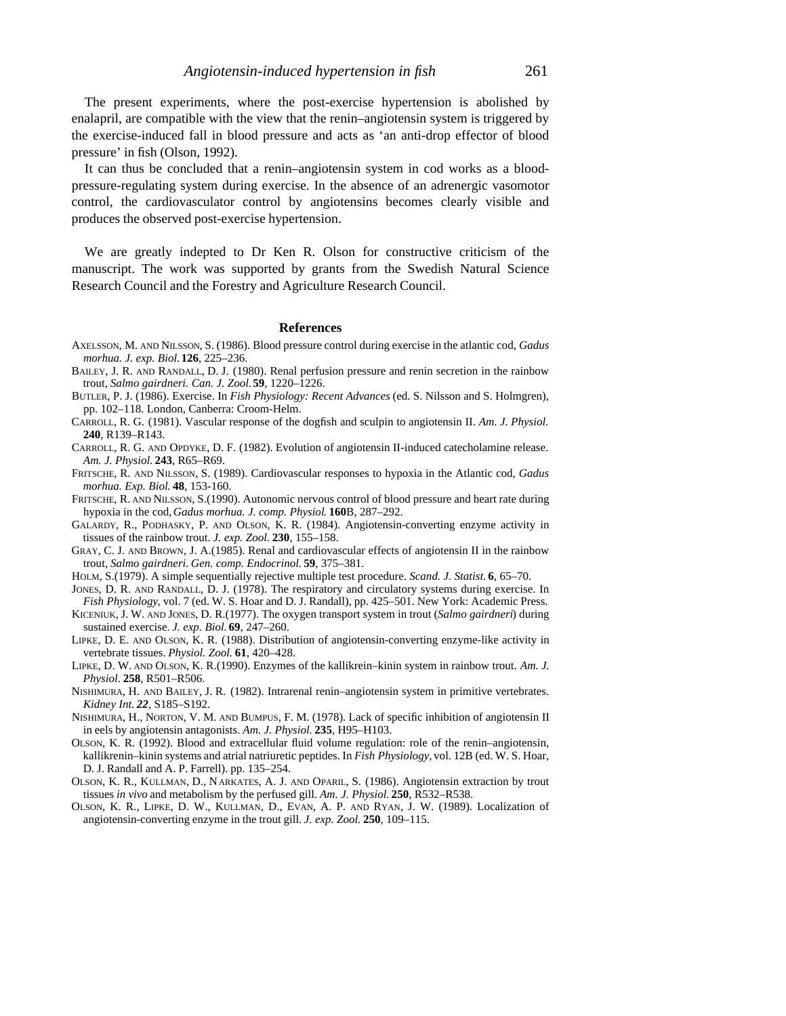The present experiments, where the post-exercise hypertension is abolished by enalapril, are compatible with the view that the renin–angiotensin system is triggered by the exercise-induced fall in blood pressure and acts as 'an anti-drop effector of blood pressure' in fish (Olson, 1992).

It can thus be concluded that a renin–angiotensin system in cod works as a bloodpressure-regulating system during exercise. In the absence of an adrenergic vasomotor control, the cardiovasculator control by angiotensins becomes clearly visible and produces the observed post-exercise hypertension.

We are greatly indepted to Dr Ken R. Olson for constructive criticism of the manuscript. The work was supported by grants from the Swedish Natural Science Research Council and the Forestry and Agriculture Research Council.

#### **References**

- AXELSSON, M. AND NILSSON, S. (1986). Blood pressure control during exercise in the atlantic cod, *Gadus morhua. J. exp. Biol.***126**, 225–236.
- BAILEY, J. R. AND RANDALL, D. J. (1980). Renal perfusion pressure and renin secretion in the rainbow trout, *Salmo gairdneri. Can. J. Zool.***59**, 1220–1226.
- BUTLER, P. J. (1986). Exercise. In *Fish Physiology: Recent Advances* (ed. S. Nilsson and S. Holmgren), pp. 102–118. London, Canberra: Croom-Helm.
- CARROLL, R. G. (1981). Vascular response of the dogfish and sculpin to angiotensin II. *Am. J. Physiol.* **240**, R139–R143.
- CARROLL, R. G. AND OPDYKE, D. F. (1982). Evolution of angiotensin II-induced catecholamine release. *Am. J. Physiol.* **243**, R65–R69.
- FRITSCHE, R. AND NILSSON, S. (1989). Cardiovascular responses to hypoxia in the Atlantic cod, *Gadus morhua. Exp. Biol*. **48**, 153-160.
- FRITSCHE, R. AND NILSSON, S.(1990). Autonomic nervous control of blood pressure and heart rate during hypoxia in the cod, *Gadus morhua. J. comp. Physiol*. **160**B, 287–292.
- GALARDY, R., PODHASKY, P. AND OLSON, K. R. (1984). Angiotensin-converting enzyme activity in tissues of the rainbow trout. *J. exp. Zool.* **230**, 155–158.
- GRAY, C. J. AND BROWN, J. A.(1985). Renal and cardiovascular effects of angiotensin II in the rainbow trout, *Salmo gairdneri*. *Gen. comp. Endocrinol.* **59**, 375–381.
- HOLM, S.(1979). A simple sequentially rejective multiple test procedure. *Scand. J. Statist.* **6**, 65–70.
- JONES, D. R. AND RANDALL, D. J. (1978). The respiratory and circulatory systems during exercise. In *Fish Physiology*, vol. 7 (ed. W. S. Hoar and D. J. Randall), pp. 425–501. New York: Academic Press.
- KICENIUK, J. W. AND JONES, D. R.(1977). The oxygen transport system in trout (*Salmo gairdneri*) during sustained exercise. *J. exp. Biol.* **69**, 247–260.
- LIPKE, D. E. AND OLSON, K. R. (1988). Distribution of angiotensin-converting enzyme-like activity in vertebrate tissues. *Physiol. Zool.* **61**, 420–428.
- LIPKE, D. W. AND OLSON, K. R.(1990). Enzymes of the kallikrein–kinin system in rainbow trout. *Am. J. Physiol*. **258**, R501–R506.
- NISHIMURA, H. AND BAILEY, J. R. (1982). Intrarenal renin–angiotensin system in primitive vertebrates. *Kidney Int. 22*, S185–S192.
- NISHIMURA, H., NORTON, V. M. AND BUMPUS, F. M. (1978). Lack of specific inhibition of angiotensin II in eels by angiotensin antagonists. *Am. J. Physiol.* **235**, H95–H103.
- OLSON, K. R. (1992). Blood and extracellular fluid volume regulation: role of the renin–angiotensin, kallikrenin–kinin systems and atrial natriuretic peptides. In *Fish Physiology,* vol. 12B (ed. W. S. Hoar, D. J. Randall and A. P. Farrell). pp. 135–254.
- OLSON, K. R., KULLMAN, D., NARKATES, A. J. AND OPARIL, S. (1986). Angiotensin extraction by trout tissues *in vivo* and metabolism by the perfused gill. *Am. J. Physiol.* **250**, R532–R538.
- OLSON, K. R., LIPKE, D. W., KULLMAN, D., EVAN, A. P. AND RYAN, J. W. (1989). Localization of angiotensin-converting enzyme in the trout gill. *J. exp. Zool.* **250**, 109–115.